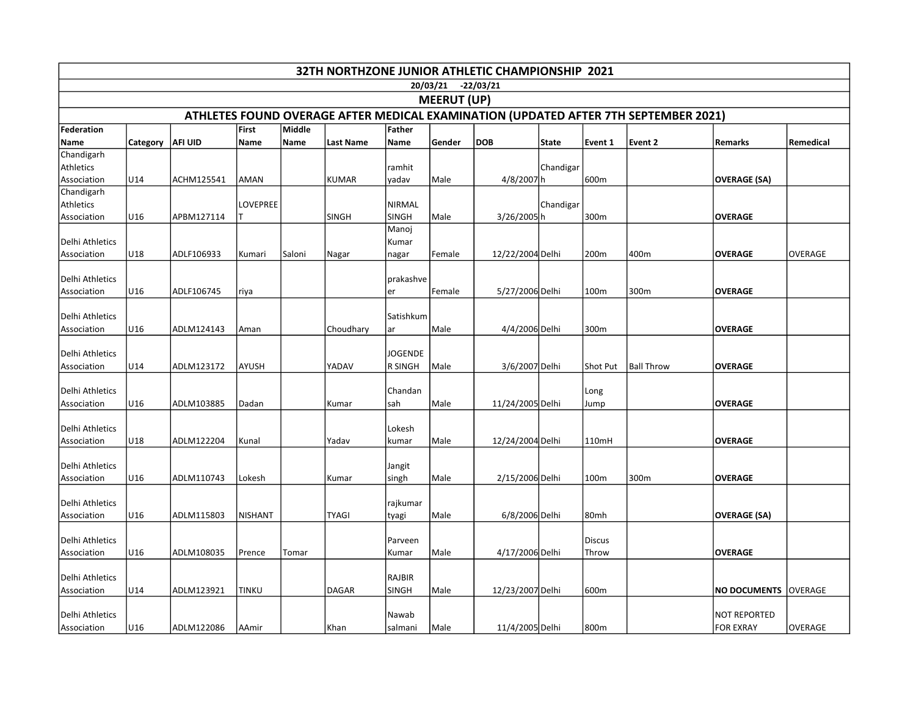| 32TH NORTHZONE JUNIOR ATHLETIC CHAMPIONSHIP 2021                                    |          |                |                |        |              |                               |        |                  |              |               |                   |                     |                |
|-------------------------------------------------------------------------------------|----------|----------------|----------------|--------|--------------|-------------------------------|--------|------------------|--------------|---------------|-------------------|---------------------|----------------|
| 20/03/21 -22/03/21                                                                  |          |                |                |        |              |                               |        |                  |              |               |                   |                     |                |
| <b>MEERUT (UP)</b>                                                                  |          |                |                |        |              |                               |        |                  |              |               |                   |                     |                |
| ATHLETES FOUND OVERAGE AFTER MEDICAL EXAMINATION (UPDATED AFTER 7TH SEPTEMBER 2021) |          |                |                |        |              |                               |        |                  |              |               |                   |                     |                |
| Federation                                                                          |          |                | First          | Middle |              | <b>Father</b>                 |        |                  |              |               |                   |                     |                |
| Name                                                                                | Category | <b>AFI UID</b> | Name           | Name   | Last Name    | Name                          | Gender | <b>DOB</b>       | <b>State</b> | Event 1       | Event 2           | Remarks             | Remedical      |
| Chandigarh                                                                          |          |                |                |        |              |                               |        |                  |              |               |                   |                     |                |
| <b>Athletics</b><br>Association                                                     | U14      | ACHM125541     | AMAN           |        | <b>KUMAR</b> | ramhit<br>yadav               | Male   | 4/8/2007h        | Chandigar    | 600m          |                   | <b>OVERAGE (SA)</b> |                |
| Chandigarh                                                                          |          |                |                |        |              |                               |        |                  |              |               |                   |                     |                |
| Athletics                                                                           |          |                | LOVEPREE       |        |              | <b>NIRMAL</b>                 |        |                  | Chandigar    |               |                   |                     |                |
| Association                                                                         | U16      | APBM127114     |                |        | <b>SINGH</b> | SINGH                         | Male   | 3/26/2005h       |              | 300m          |                   | <b>OVERAGE</b>      |                |
|                                                                                     |          |                |                |        |              | Manoj                         |        |                  |              |               |                   |                     |                |
| Delhi Athletics                                                                     |          |                |                |        |              | Kumar                         |        |                  |              |               |                   |                     |                |
| Association                                                                         | U18      | ADLF106933     | Kumari         | Saloni | Nagar        | nagar                         | Female | 12/22/2004 Delhi |              | 200m          | 400m              | <b>OVERAGE</b>      | OVERAGE        |
| Delhi Athletics                                                                     |          |                |                |        |              |                               |        |                  |              |               |                   |                     |                |
| Association                                                                         | U16      | ADLF106745     | riya           |        |              | prakashve<br>er               | Female | 5/27/2006 Delhi  |              | 100m          | 300m              | <b>OVERAGE</b>      |                |
|                                                                                     |          |                |                |        |              |                               |        |                  |              |               |                   |                     |                |
| Delhi Athletics                                                                     |          |                |                |        |              | Satishkum                     |        |                  |              |               |                   |                     |                |
| Association                                                                         | U16      | ADLM124143     | Aman           |        | Choudhary    | ar                            | Male   | 4/4/2006 Delhi   |              | 300m          |                   | <b>OVERAGE</b>      |                |
|                                                                                     |          |                |                |        |              |                               |        |                  |              |               |                   |                     |                |
| Delhi Athletics                                                                     |          |                |                |        |              | <b>JOGENDE</b>                |        |                  |              |               |                   |                     |                |
| Association                                                                         | U14      | ADLM123172     | AYUSH          |        | YADAV        | <b>R SINGH</b>                | Male   | 3/6/2007 Delhi   |              | Shot Put      | <b>Ball Throw</b> | <b>OVERAGE</b>      |                |
| Delhi Athletics                                                                     |          |                |                |        |              | Chandan                       |        |                  |              | Long          |                   |                     |                |
| Association                                                                         | U16      | ADLM103885     | Dadan          |        | Kumar        | sah                           | Male   | 11/24/2005 Delhi |              | Jump          |                   | <b>OVERAGE</b>      |                |
|                                                                                     |          |                |                |        |              |                               |        |                  |              |               |                   |                     |                |
| Delhi Athletics                                                                     |          |                |                |        |              | Lokesh                        |        |                  |              |               |                   |                     |                |
| Association                                                                         | U18      | ADLM122204     | Kunal          |        | Yadav        | kumar                         | Male   | 12/24/2004 Delhi |              | 110mH         |                   | <b>OVERAGE</b>      |                |
|                                                                                     |          |                |                |        |              |                               |        |                  |              |               |                   |                     |                |
| Delhi Athletics<br>Association                                                      | U16      | ADLM110743     | Lokesh         |        | Kumar        | Jangit                        | Male   | 2/15/2006 Delhi  |              | 100m          | 300m              | <b>OVERAGE</b>      |                |
|                                                                                     |          |                |                |        |              | singh                         |        |                  |              |               |                   |                     |                |
| Delhi Athletics                                                                     |          |                |                |        |              | rajkumar                      |        |                  |              |               |                   |                     |                |
| Association                                                                         | U16      | ADLM115803     | <b>NISHANT</b> |        | <b>TYAGI</b> | tyagi                         | Male   | 6/8/2006 Delhi   |              | 80mh          |                   | <b>OVERAGE (SA)</b> |                |
|                                                                                     |          |                |                |        |              |                               |        |                  |              |               |                   |                     |                |
| Delhi Athletics                                                                     |          |                |                |        |              | Parveen                       |        |                  |              | <b>Discus</b> |                   |                     |                |
| Association                                                                         | U16      | ADLM108035     | Prence         | Tomar  |              | Kumar                         | Male   | 4/17/2006 Delhi  |              | Throw         |                   | <b>OVERAGE</b>      |                |
|                                                                                     |          |                |                |        |              |                               |        |                  |              |               |                   |                     |                |
| Delhi Athletics<br>Association                                                      | U14      | ADLM123921     | <b>TINKU</b>   |        | <b>DAGAR</b> | <b>RAJBIR</b><br><b>SINGH</b> | Male   | 12/23/2007 Delhi |              | 600m          |                   | <b>NO DOCUMENTS</b> | lOVERAGE       |
|                                                                                     |          |                |                |        |              |                               |        |                  |              |               |                   |                     |                |
| Delhi Athletics                                                                     |          |                |                |        |              | Nawab                         |        |                  |              |               |                   | NOT REPORTED        |                |
| Association                                                                         | U16      | ADLM122086     | AAmir          |        | Khan         | salmani                       | Male   | 11/4/2005 Delhi  |              | 800m          |                   | <b>FOR EXRAY</b>    | <b>OVERAGE</b> |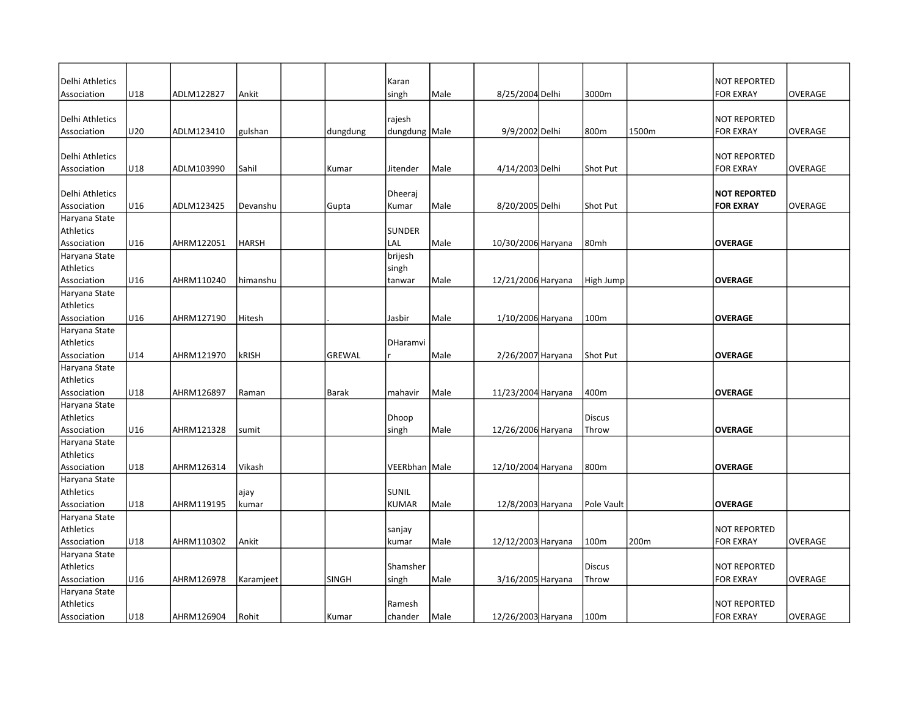| Delhi Athletics            |     | ADLM122827 |              |          | Karan           | Male |                    | 3000m           |       | <b>NOT REPORTED</b> | <b>OVERAGE</b> |
|----------------------------|-----|------------|--------------|----------|-----------------|------|--------------------|-----------------|-------|---------------------|----------------|
| Association                | U18 |            | Ankit        |          | singh           |      | 8/25/2004 Delhi    |                 |       | <b>FOR EXRAY</b>    |                |
| Delhi Athletics            |     |            |              |          | rajesh          |      |                    |                 |       | <b>NOT REPORTED</b> |                |
| Association                | U20 | ADLM123410 | gulshan      | dungdung | dungdung Male   |      | 9/9/2002 Delhi     | 800m            | 1500m | <b>FOR EXRAY</b>    | <b>OVERAGE</b> |
|                            |     |            |              |          |                 |      |                    |                 |       |                     |                |
| Delhi Athletics            |     |            |              |          |                 |      |                    |                 |       | <b>NOT REPORTED</b> |                |
| Association                | U18 | ADLM103990 | Sahil        | Kumar    | Jitender        | Male | 4/14/2003 Delhi    | <b>Shot Put</b> |       | <b>FOR EXRAY</b>    | <b>OVERAGE</b> |
|                            |     |            |              |          |                 |      |                    |                 |       |                     |                |
| Delhi Athletics            |     |            |              |          | Dheerai         |      |                    |                 |       | <b>NOT REPORTED</b> |                |
| Association                | U16 | ADLM123425 | Devanshu     | Gupta    | Kumar           | Male | 8/20/2005 Delhi    | Shot Put        |       | <b>FOR EXRAY</b>    | <b>OVERAGE</b> |
| Haryana State              |     |            |              |          |                 |      |                    |                 |       |                     |                |
| Athletics                  |     |            |              |          | <b>SUNDER</b>   |      |                    |                 |       |                     |                |
| Association                | U16 | AHRM122051 | <b>HARSH</b> |          | LAL             | Male | 10/30/2006 Haryana | 80mh            |       | <b>OVERAGE</b>      |                |
| Haryana State              |     |            |              |          | brijesh         |      |                    |                 |       |                     |                |
| Athletics                  |     |            |              |          | singh           |      |                    |                 |       |                     |                |
| Association                | U16 | AHRM110240 | himanshu     |          | tanwar          | Male | 12/21/2006 Haryana | High Jump       |       | <b>OVERAGE</b>      |                |
| Haryana State              |     |            |              |          |                 |      |                    |                 |       |                     |                |
| Athletics                  |     |            |              |          |                 |      |                    |                 |       |                     |                |
| Association                | U16 | AHRM127190 | Hitesh       |          | Jasbir          | Male | 1/10/2006 Haryana  | 100m            |       | <b>OVERAGE</b>      |                |
| Haryana State              |     |            |              |          |                 |      |                    |                 |       |                     |                |
| Athletics                  |     |            |              |          | DHaramvi        |      |                    |                 |       |                     |                |
| Association                | U14 | AHRM121970 | <b>kRISH</b> | GREWAL   |                 | Male | 2/26/2007 Haryana  | Shot Put        |       | <b>OVERAGE</b>      |                |
| Haryana State              |     |            |              |          |                 |      |                    |                 |       |                     |                |
| Athletics                  |     |            |              |          |                 |      |                    |                 |       |                     |                |
| Association                | U18 | AHRM126897 | Raman        | Barak    | mahavir         | Male | 11/23/2004 Haryana | 400m            |       | <b>OVERAGE</b>      |                |
| Haryana State              |     |            |              |          |                 |      |                    |                 |       |                     |                |
| Athletics                  |     |            |              |          | Dhoop           |      |                    | <b>Discus</b>   |       |                     |                |
| Association                | U16 | AHRM121328 | sumit        |          | singh           | Male | 12/26/2006 Haryana | Throw           |       | <b>OVERAGE</b>      |                |
| Haryana State              |     |            |              |          |                 |      |                    |                 |       |                     |                |
| Athletics                  |     |            |              |          |                 |      |                    |                 |       |                     |                |
| Association                | U18 | AHRM126314 | Vikash       |          | VEERbhan Male   |      | 12/10/2004 Haryana | 800m            |       | <b>OVERAGE</b>      |                |
| Haryana State              |     |            |              |          |                 |      |                    |                 |       |                     |                |
| Athletics                  |     |            | ajay         |          | SUNIL           |      |                    |                 |       |                     |                |
| Association                | U18 | AHRM119195 | kumar        |          | <b>KUMAR</b>    | Male | 12/8/2003 Haryana  | Pole Vault      |       | <b>OVERAGE</b>      |                |
| Haryana State<br>Athletics |     |            |              |          |                 |      |                    |                 |       | <b>NOT REPORTED</b> |                |
| Association                | U18 | AHRM110302 | Ankit        |          | sanjay<br>kumar | Male |                    | 100m            | 200m  | <b>FOR EXRAY</b>    | <b>OVERAGE</b> |
| Haryana State              |     |            |              |          |                 |      | 12/12/2003 Haryana |                 |       |                     |                |
| Athletics                  |     |            |              |          | Shamsher        |      |                    | <b>Discus</b>   |       | <b>NOT REPORTED</b> |                |
| Association                | U16 | AHRM126978 | Karamjeet    | SINGH    | singh           | Male | 3/16/2005 Haryana  | Throw           |       | <b>FOR EXRAY</b>    | <b>OVERAGE</b> |
| Haryana State              |     |            |              |          |                 |      |                    |                 |       |                     |                |
| Athletics                  |     |            |              |          | Ramesh          |      |                    |                 |       | <b>NOT REPORTED</b> |                |
| Association                | U18 | AHRM126904 | Rohit        | Kumar    | chander         | Male | 12/26/2003 Haryana | 100m            |       | <b>FOR EXRAY</b>    | <b>OVERAGE</b> |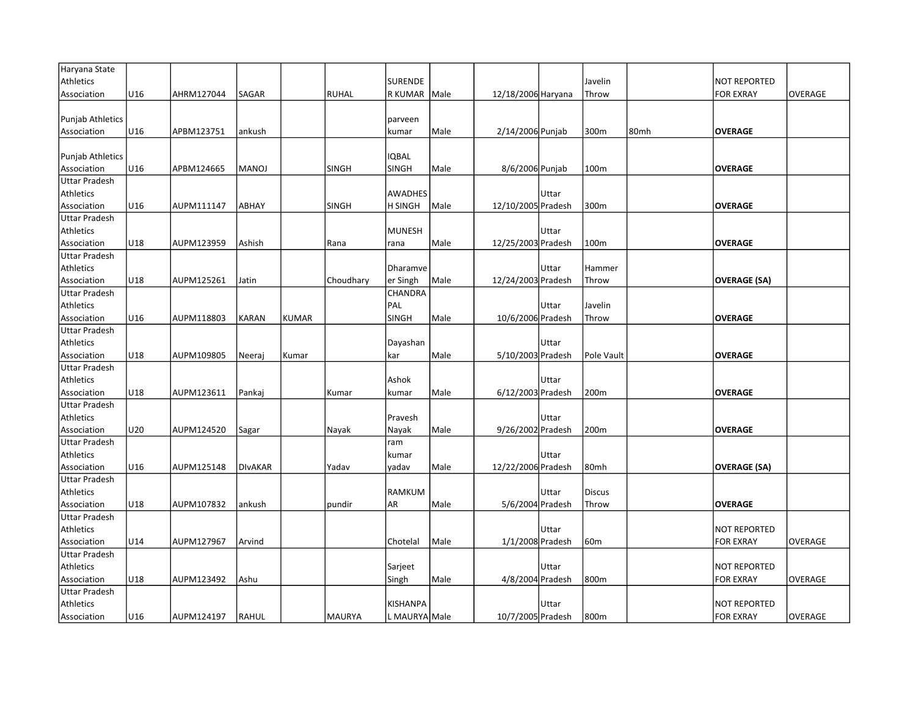| Haryana State           |     |            |                |              |               |                 |      |                    |       |                 |      |                     |                |
|-------------------------|-----|------------|----------------|--------------|---------------|-----------------|------|--------------------|-------|-----------------|------|---------------------|----------------|
| Athletics               |     |            |                |              |               | <b>SURENDE</b>  |      |                    |       | Javelin         |      | <b>NOT REPORTED</b> |                |
| Association             | U16 | AHRM127044 | SAGAR          |              | <b>RUHAL</b>  | R KUMAR         | Male | 12/18/2006 Haryana |       | Throw           |      | <b>FOR EXRAY</b>    | <b>OVERAGE</b> |
|                         |     |            |                |              |               |                 |      |                    |       |                 |      |                     |                |
| Punjab Athletics        |     |            |                |              |               | parveen         |      |                    |       |                 |      |                     |                |
| Association             | U16 | APBM123751 | ankush         |              |               | kumar           | Male | 2/14/2006 Punjab   |       | 300m            | 80mh | <b>OVERAGE</b>      |                |
|                         |     |            |                |              |               |                 |      |                    |       |                 |      |                     |                |
| <b>Punjab Athletics</b> |     |            |                |              |               | <b>IQBAL</b>    |      |                    |       |                 |      |                     |                |
| Association             | U16 | APBM124665 | <b>MANOJ</b>   |              | <b>SINGH</b>  | <b>SINGH</b>    | Male | 8/6/2006 Punjab    |       | 100m            |      | <b>OVERAGE</b>      |                |
| <b>Uttar Pradesh</b>    |     |            |                |              |               |                 |      |                    |       |                 |      |                     |                |
| Athletics               |     |            |                |              |               | <b>AWADHES</b>  |      |                    | Uttar |                 |      |                     |                |
| Association             | U16 | AUPM111147 | ABHAY          |              | <b>SINGH</b>  | <b>H SINGH</b>  | Male | 12/10/2005 Pradesh |       | 300m            |      | <b>OVERAGE</b>      |                |
| <b>Uttar Pradesh</b>    |     |            |                |              |               |                 |      |                    |       |                 |      |                     |                |
| Athletics               |     |            |                |              |               | MUNESH          |      |                    | Uttar |                 |      |                     |                |
| Association             | U18 | AUPM123959 | Ashish         |              | Rana          | rana            | Male | 12/25/2003 Pradesh |       | 100m            |      | <b>OVERAGE</b>      |                |
| <b>Uttar Pradesh</b>    |     |            |                |              |               |                 |      |                    |       |                 |      |                     |                |
| Athletics               |     |            |                |              |               | Dharamve        |      |                    | Uttar | Hammer          |      |                     |                |
| Association             | U18 | AUPM125261 | Jatin          |              | Choudhary     | er Singh        | Male | 12/24/2003 Pradesh |       | Throw           |      | <b>OVERAGE (SA)</b> |                |
| <b>Uttar Pradesh</b>    |     |            |                |              |               | <b>CHANDRA</b>  |      |                    |       |                 |      |                     |                |
| Athletics               |     |            |                |              |               | PAL             |      |                    | Uttar | Javelin         |      |                     |                |
| Association             | U16 | AUPM118803 | <b>KARAN</b>   | <b>KUMAR</b> |               | <b>SINGH</b>    | Male | 10/6/2006 Pradesh  |       | Throw           |      | <b>OVERAGE</b>      |                |
| <b>Uttar Pradesh</b>    |     |            |                |              |               |                 |      |                    |       |                 |      |                     |                |
| Athletics               |     |            |                |              |               | Dayashan        |      |                    | Uttar |                 |      |                     |                |
| Association             | U18 | AUPM109805 | Neeraj         | Kumar        |               | kar             | Male | 5/10/2003 Pradesh  |       | Pole Vault      |      | <b>OVERAGE</b>      |                |
| <b>Uttar Pradesh</b>    |     |            |                |              |               |                 |      |                    |       |                 |      |                     |                |
| Athletics               |     |            |                |              |               | Ashok           |      |                    | Uttar |                 |      |                     |                |
| Association             | U18 | AUPM123611 | Pankaj         |              | Kumar         | kumar           | Male | 6/12/2003 Pradesh  |       | 200m            |      | <b>OVERAGE</b>      |                |
| <b>Uttar Pradesh</b>    |     |            |                |              |               |                 |      |                    |       |                 |      |                     |                |
| Athletics               |     |            |                |              |               | Pravesh         |      |                    | Uttar |                 |      |                     |                |
| Association             | U20 | AUPM124520 | Sagar          |              | Nayak         | Nayak           | Male | 9/26/2002 Pradesh  |       | 200m            |      | <b>OVERAGE</b>      |                |
| <b>Uttar Pradesh</b>    |     |            |                |              |               | ram             |      |                    |       |                 |      |                     |                |
| Athletics               |     |            |                |              |               | kumar           |      |                    | Uttar |                 |      |                     |                |
| Association             | U16 | AUPM125148 | <b>DIVAKAR</b> |              | Yadav         | yadav           | Male | 12/22/2006 Pradesh |       | 80mh            |      | <b>OVERAGE (SA)</b> |                |
| <b>Uttar Pradesh</b>    |     |            |                |              |               |                 |      |                    |       |                 |      |                     |                |
| Athletics               |     |            |                |              |               | <b>RAMKUM</b>   |      |                    | Uttar | <b>Discus</b>   |      |                     |                |
| Association             | U18 | AUPM107832 | ankush         |              | pundir        | AR              | Male | 5/6/2004 Pradesh   |       | Throw           |      | <b>OVERAGE</b>      |                |
| <b>Uttar Pradesh</b>    |     |            |                |              |               |                 |      |                    |       |                 |      |                     |                |
| Athletics               |     |            |                |              |               |                 |      |                    | Uttar |                 |      | <b>NOT REPORTED</b> |                |
| Association             | U14 | AUPM127967 | Arvind         |              |               | Chotelal        | Male | 1/1/2008 Pradesh   |       | 60 <sub>m</sub> |      | <b>FOR EXRAY</b>    | <b>OVERAGE</b> |
| Uttar Pradesh           |     |            |                |              |               |                 |      |                    |       |                 |      |                     |                |
| Athletics               |     |            |                |              |               | Sarjeet         |      |                    | Uttar |                 |      | <b>NOT REPORTED</b> |                |
| Association             | U18 | AUPM123492 | Ashu           |              |               | Singh           | Male | 4/8/2004 Pradesh   |       | 800m            |      | <b>FOR EXRAY</b>    | OVERAGE        |
| <b>Uttar Pradesh</b>    |     |            |                |              |               |                 |      |                    |       |                 |      |                     |                |
| Athletics               |     |            |                |              |               | <b>KISHANPA</b> |      |                    | Uttar |                 |      | <b>NOT REPORTED</b> |                |
| Association             | U16 | AUPM124197 | <b>RAHUL</b>   |              | <b>MAURYA</b> | L MAURYA Male   |      | 10/7/2005 Pradesh  |       | 800m            |      | <b>FOR EXRAY</b>    | <b>OVERAGE</b> |
|                         |     |            |                |              |               |                 |      |                    |       |                 |      |                     |                |